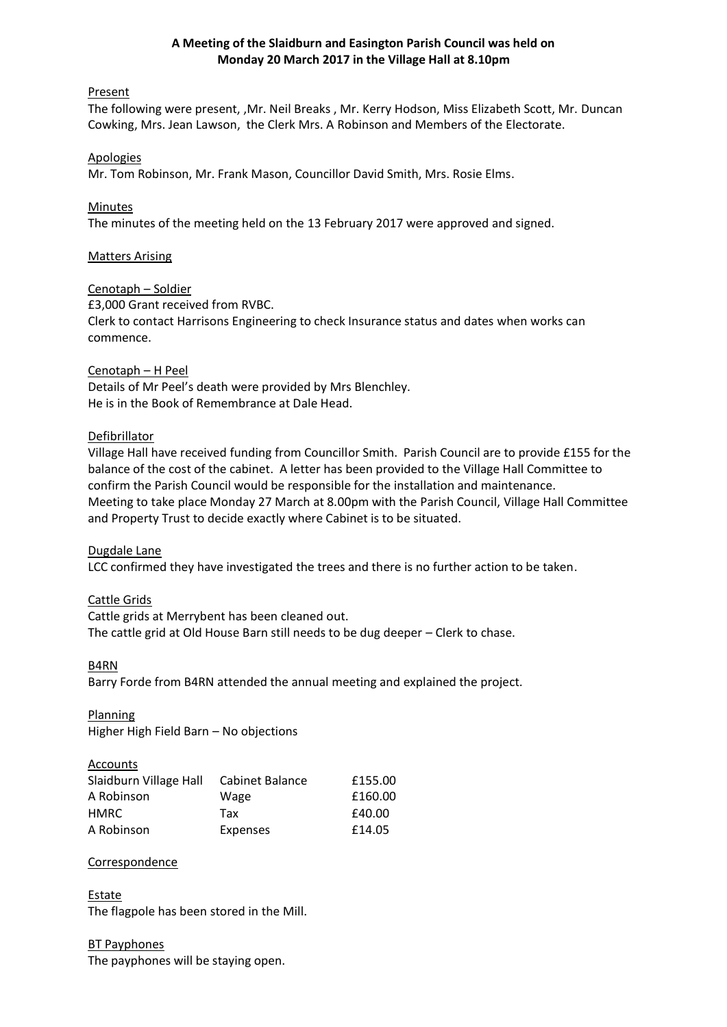# **A Meeting of the Slaidburn and Easington Parish Council was held on Monday 20 March 2017 in the Village Hall at 8.10pm**

# Present

The following were present, ,Mr. Neil Breaks , Mr. Kerry Hodson, Miss Elizabeth Scott, Mr. Duncan Cowking, Mrs. Jean Lawson, the Clerk Mrs. A Robinson and Members of the Electorate.

### Apologies

Mr. Tom Robinson, Mr. Frank Mason, Councillor David Smith, Mrs. Rosie Elms.

# **Minutes**

The minutes of the meeting held on the 13 February 2017 were approved and signed.

# Matters Arising

### Cenotaph – Soldier

£3,000 Grant received from RVBC.

Clerk to contact Harrisons Engineering to check Insurance status and dates when works can commence.

# Cenotaph – H Peel

Details of Mr Peel's death were provided by Mrs Blenchley. He is in the Book of Remembrance at Dale Head.

# Defibrillator

Village Hall have received funding from Councillor Smith. Parish Council are to provide £155 for the balance of the cost of the cabinet. A letter has been provided to the Village Hall Committee to confirm the Parish Council would be responsible for the installation and maintenance. Meeting to take place Monday 27 March at 8.00pm with the Parish Council, Village Hall Committee and Property Trust to decide exactly where Cabinet is to be situated.

### Dugdale Lane

LCC confirmed they have investigated the trees and there is no further action to be taken.

# Cattle Grids

Cattle grids at Merrybent has been cleaned out. The cattle grid at Old House Barn still needs to be dug deeper – Clerk to chase.

### B4RN

Barry Forde from B4RN attended the annual meeting and explained the project.

Planning Higher High Field Barn – No objections

### **Accounts**

| Slaidburn Village Hall | Cabinet Balance | £155.00 |
|------------------------|-----------------|---------|
| A Robinson             | Wage            | £160.00 |
| HMRC                   | Tax             | £40.00  |
| A Robinson             | <b>Expenses</b> | £14.05  |

### **Correspondence**

Estate The flagpole has been stored in the Mill.

# BT Payphones

The payphones will be staying open.